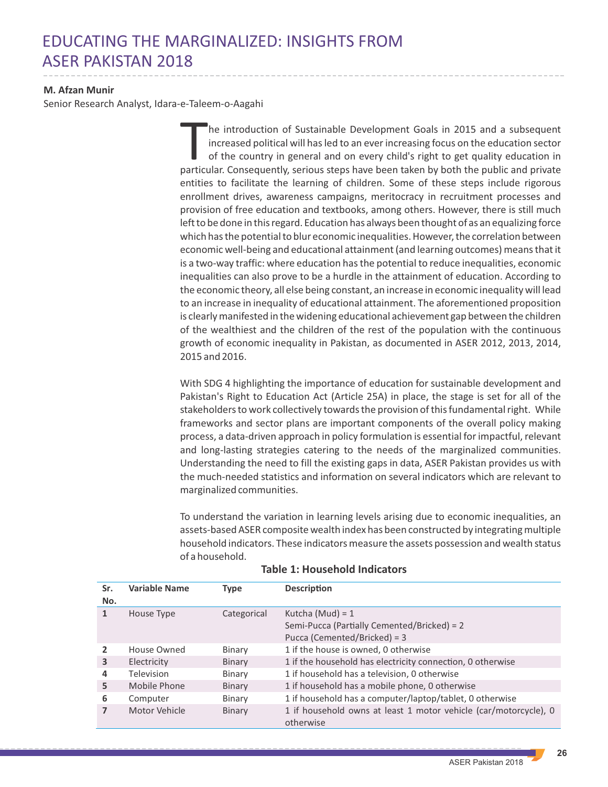## EDUCATING THE MARGINALIZED: INSIGHTS FROM ASER PAKISTAN 2018

## **M. Afzan Munir**

Senior Research Analyst, Idara-e-Taleem-o-Aagahi

he introduction of Sustainable Development Goals in 2015 and a subsequent increased political will has led to an ever increasing focus on the education sector of the country in general and on every child's right to get quality education in particular. Consequently, serious steps have been taken by both the public and private entities to facilitate the learning of children. Some of these steps include rigorous enrollment drives, awareness campaigns, meritocracy in recruitment processes and provision of free education and textbooks, among others. However, there is still much left to be done in this regard. Education has always been thought of as an equalizing force which has the potential to blur economic inequalities. However, the correlation between economic well-being and educational attainment (and learning outcomes) means that it is a two-way traffic: where education has the potential to reduce inequalities, economic inequalities can also prove to be a hurdle in the attainment of education. According to the economic theory, all else being constant, an increase in economic inequality will lead to an increase in inequality of educational attainment. The aforementioned proposition is clearly manifested in the widening educational achievement gap between the children of the wealthiest and the children of the rest of the population with the continuous growth of economic inequality in Pakistan, as documented in ASER 2012, 2013, 2014, 2015 and 2016.

With SDG 4 highlighting the importance of education for sustainable development and Pakistan's Right to Education Act (Article 25A) in place, the stage is set for all of the stakeholders to work collectively towards the provision of this fundamental right. While frameworks and sector plans are important components of the overall policy making process, a data-driven approach in policy formulation is essential for impactful, relevant and long-lasting strategies catering to the needs of the marginalized communities. Understanding the need to fill the existing gaps in data, ASER Pakistan provides us with the much-needed statistics and information on several indicators which are relevant to marginalized communities.

To understand the variation in learning levels arising due to economic inequalities, an assets-based ASER composite wealth index has been constructed by integrating multiple household indicators. These indicators measure the assets possession and wealth status of a household.

| Sr. | <b>Variable Name</b> | Type        | <b>Description</b>                                               |
|-----|----------------------|-------------|------------------------------------------------------------------|
| No. |                      |             |                                                                  |
| 1   | House Type           | Categorical | Kutcha (Mud) = 1                                                 |
|     |                      |             | Semi-Pucca (Partially Cemented/Bricked) = 2                      |
|     |                      |             | Pucca (Cemented/Bricked) = 3                                     |
|     | House Owned          | Binary      | 1 if the house is owned, 0 otherwise                             |
| 3   | Electricity          | Binary      | 1 if the household has electricity connection, 0 otherwise       |
| 4   | <b>Television</b>    | Binary      | 1 if household has a television, 0 otherwise                     |
| 5   | Mobile Phone         | Binary      | 1 if household has a mobile phone, 0 otherwise                   |
| 6   | Computer             | Binary      | 1 if household has a computer/laptop/tablet, 0 otherwise         |
|     | Motor Vehicle        | Binary      | 1 if household owns at least 1 motor vehicle (car/motorcycle), 0 |
|     |                      |             | otherwise                                                        |

## **Table 1: Household Indicators**

**26**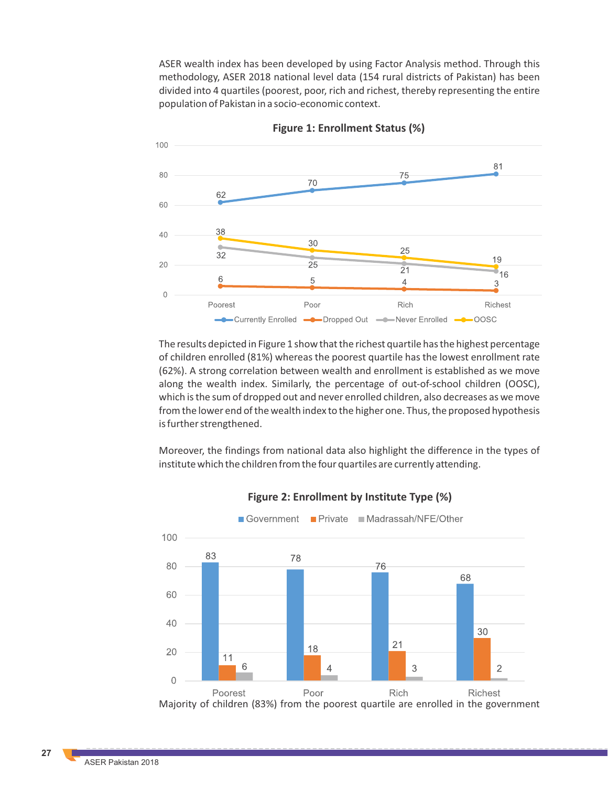ASER wealth index has been developed by using Factor Analysis method. Through this methodology, ASER 2018 national level data (154 rural districts of Pakistan) has been divided into 4 quartiles (poorest, poor, rich and richest, thereby representing the entire population of Pakistan in a socio-economic context.



**Figure 1: Enrollment Status (%)**

The results depicted in Figure 1 show that the richest quartile has the highest percentage of children enrolled (81%) whereas the poorest quartile has the lowest enrollment rate (62%). A strong correlation between wealth and enrollment is established as we move along the wealth index. Similarly, the percentage of out-of-school children (OOSC), which is the sum of dropped out and never enrolled children, also decreases as we move from the lower end of the wealth index to the higher one. Thus, the proposed hypothesis is further strengthened.

Moreover, the findings from national data also highlight the difference in the types of institute which the children from the four quartiles are currently attending.



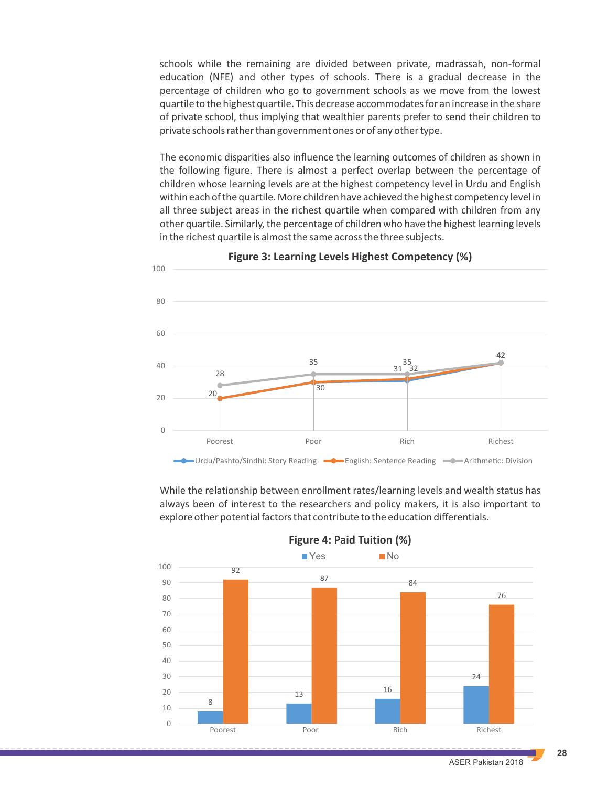schools while the remaining are divided between private, madrassah, non-formal education (NFE) and other types of schools. There is a gradual decrease in the percentage of children who go to government schools as we move from the lowest quartile to the highest quartile. This decrease accommodates for an increase in the share of private school, thus implying that wealthier parents prefer to send their children to private schools rather than government ones or of any other type.

The economic disparities also influence the learning outcomes of children as shown in the following figure. There is almost a perfect overlap between the percentage of children whose learning levels are at the highest competency level in Urdu and English within each of the quartile. More children have achieved the highest competency level in all three subject areas in the richest quartile when compared with children from any other quartile. Similarly, the percentage of children who have the highest learning levels in the richest quartile is almost the same across the three subjects.



**Figure 3: Learning Levels Highest Competency (%)**

While the relationship between enrollment rates/learning levels and wealth status has always been of interest to the researchers and policy makers, it is also important to explore other potential factors that contribute to the education differentials.